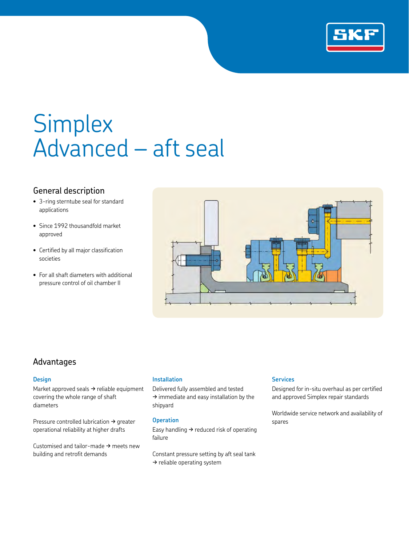

# Simplex Advanced – aft seal

## General description

- 3-ring sterntube seal for standard applications
- Since 1992 thousandfold market approved
- Certified by all major classification societies
- For all shaft diameters with additional pressure control of oil chamber II



### Advantages

#### **Design**

Market approved seals  $\rightarrow$  reliable equipment covering the whole range of shaft diameters

Pressure controlled lubrication  $\rightarrow$  greater operational reliability at higher drafts

Customised and tailor-made  $\rightarrow$  meets new building and retrofit demands

#### **Installation**

Delivered fully assembled and tested  $\rightarrow$  immediate and easy installation by the shipyard

#### **Operation**

Easy handling  $\rightarrow$  reduced risk of operating failure

Constant pressure setting by aft seal tank  $\rightarrow$  reliable operating system

#### **Services**

Designed for in-situ overhaul as per certified and approved Simplex repair standards

Worldwide service network and availability of spares